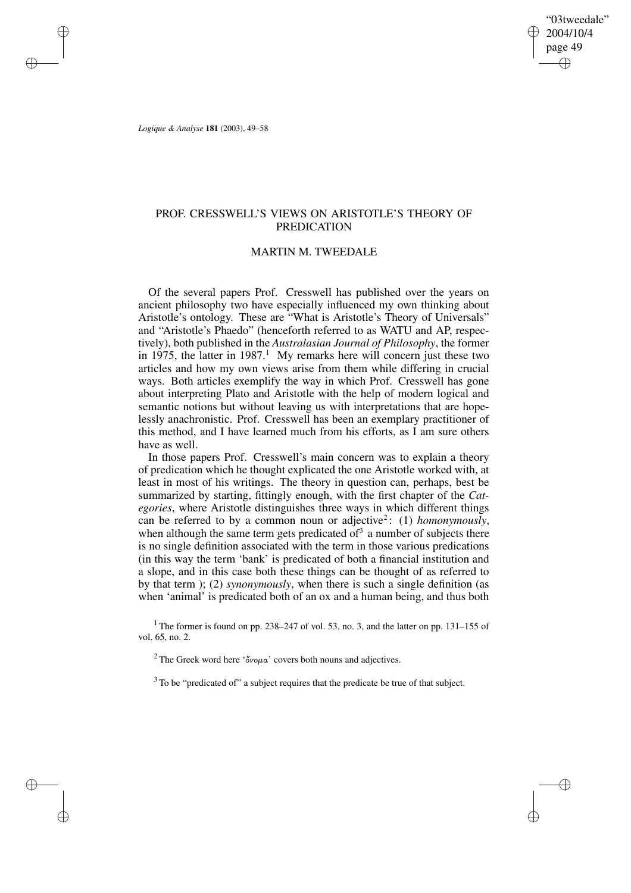"03tweedale" 2004/10/4 page 49 ✐ ✐

✐

✐

*Logique & Analyse* **181** (2003), 49–58

✐

✐

✐

✐

## PROF. CRESSWELL'S VIEWS ON ARISTOTLE'S THEORY OF PREDICATION

### MARTIN M. TWEEDALE

Of the several papers Prof. Cresswell has published over the years on ancient philosophy two have especially influenced my own thinking about Aristotle's ontology. These are "What is Aristotle's Theory of Universals" and "Aristotle's Phaedo" (henceforth referred to as WATU and AP, respectively), both published in the *Australasian Journal of Philosophy*, the former in 1975, the latter in 1987.<sup>1</sup> My remarks here will concern just these two articles and how my own views arise from them while differing in crucial ways. Both articles exemplify the way in which Prof. Cresswell has gone about interpreting Plato and Aristotle with the help of modern logical and semantic notions but without leaving us with interpretations that are hopelessly anachronistic. Prof. Cresswell has been an exemplary practitioner of this method, and I have learned much from his efforts, as I am sure others have as well.

In those papers Prof. Cresswell's main concern was to explain a theory of predication which he thought explicated the one Aristotle worked with, at least in most of his writings. The theory in question can, perhaps, best be summarized by starting, fittingly enough, with the first chapter of the *Categories*, where Aristotle distinguishes three ways in which different things can be referred to by a common noun or adjective 2 : (1) *homonymously*, when although the same term gets predicated of<sup>3</sup> a number of subjects there is no single definition associated with the term in those various predications (in this way the term 'bank' is predicated of both a financial institution and a slope, and in this case both these things can be thought of as referred to by that term ); (2) *synonymously*, when there is such a single definition (as when 'animal' is predicated both of an ox and a human being, and thus both

<sup>1</sup> The former is found on pp. 238–247 of vol. 53, no. 3, and the latter on pp. 131–155 of vol. 65, no. 2.

<sup>2</sup> The Greek word here ' $\delta v \circ \mu a$ ' covers both nouns and adjectives.

<sup>3</sup> To be "predicated of" a subject requires that the predicate be true of that subject.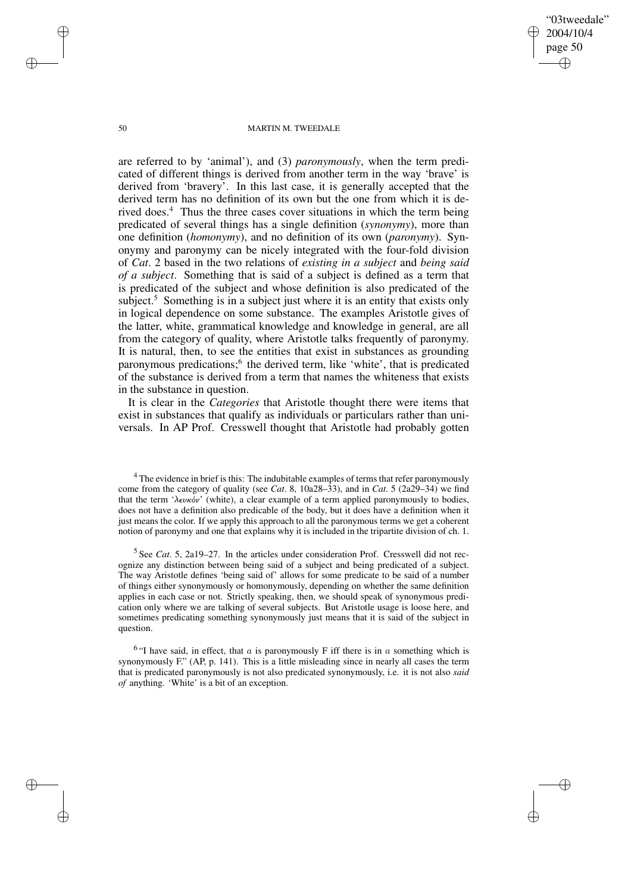"03tweedale" 2004/10/4 page 50 ✐ ✐

✐

✐

### 50 MARTIN M. TWEEDALE

are referred to by 'animal'), and (3) *paronymously*, when the term predicated of different things is derived from another term in the way 'brave' is derived from 'bravery'. In this last case, it is generally accepted that the derived term has no definition of its own but the one from which it is derived does.<sup>4</sup> Thus the three cases cover situations in which the term being predicated of several things has a single definition (*synonymy*), more than one definition (*homonymy*), and no definition of its own (*paronymy*). Synonymy and paronymy can be nicely integrated with the four-fold division of *Cat*. 2 based in the two relations of *existing in a subject* and *being said of a subject*. Something that is said of a subject is defined as a term that is predicated of the subject and whose definition is also predicated of the subject.<sup>5</sup> Something is in a subject just where it is an entity that exists only in logical dependence on some substance. The examples Aristotle gives of the latter, white, grammatical knowledge and knowledge in general, are all from the category of quality, where Aristotle talks frequently of paronymy. It is natural, then, to see the entities that exist in substances as grounding paronymous predications;<sup>6</sup> the derived term, like 'white', that is predicated of the substance is derived from a term that names the whiteness that exists in the substance in question.

It is clear in the *Categories* that Aristotle thought there were items that exist in substances that qualify as individuals or particulars rather than universals. In AP Prof. Cresswell thought that Aristotle had probably gotten

<sup>4</sup> The evidence in brief is this: The indubitable examples of terms that refer paronymously come from the category of quality (see *Cat*. 8, 10a28–33), and in *Cat*. 5 (2a29–34) we find that the term ' $\lambda \epsilon \nu \kappa \omega'$ ' (white), a clear example of a term applied paronymously to bodies, does not have a definition also predicable of the body, but it does have a definition when it just means the color. If we apply this approach to all the paronymous terms we get a coherent notion of paronymy and one that explains why it is included in the tripartite division of ch. 1.

5 See *Cat*. 5, 2a19–27. In the articles under consideration Prof. Cresswell did not recognize any distinction between being said of a subject and being predicated of a subject. The way Aristotle defines 'being said of' allows for some predicate to be said of a number of things either synonymously or homonymously, depending on whether the same definition applies in each case or not. Strictly speaking, then, we should speak of synonymous predication only where we are talking of several subjects. But Aristotle usage is loose here, and sometimes predicating something synonymously just means that it is said of the subject in question.

<sup>6</sup> "I have said, in effect, that  $a$  is paronymously F iff there is in  $a$  something which is synonymously F." (AP, p. 141). This is a little misleading since in nearly all cases the term that is predicated paronymously is not also predicated synonymously, i.e. it is not also *said of* anything. 'White' is a bit of an exception.

✐

✐

✐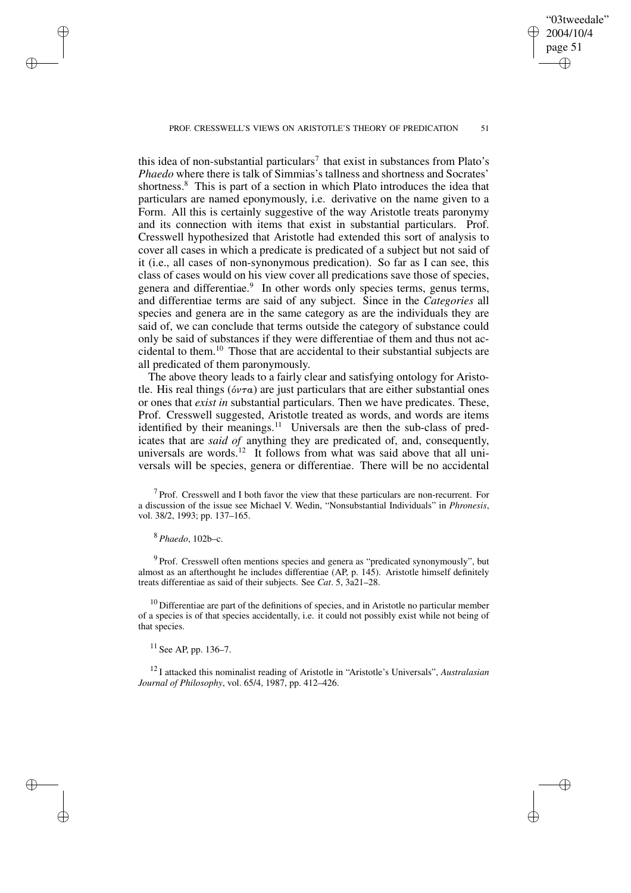PROF. CRESSWELL'S VIEWS ON ARISTOTLE'S THEORY OF PREDICATION 51

this idea of non-substantial particulars<sup>7</sup> that exist in substances from Plato's *Phaedo* where there is talk of Simmias's tallness and shortness and Socrates' shortness.<sup>8</sup> This is part of a section in which Plato introduces the idea that particulars are named eponymously, i.e. derivative on the name given to a Form. All this is certainly suggestive of the way Aristotle treats paronymy and its connection with items that exist in substantial particulars. Prof. Cresswell hypothesized that Aristotle had extended this sort of analysis to cover all cases in which a predicate is predicated of a subject but not said of it (i.e., all cases of non-synonymous predication). So far as I can see, this class of cases would on his view cover all predications save those of species, genera and differentiae.<sup>9</sup> In other words only species terms, genus terms, and differentiae terms are said of any subject. Since in the *Categories* all species and genera are in the same category as are the individuals they are said of, we can conclude that terms outside the category of substance could only be said of substances if they were differentiae of them and thus not accidental to them.<sup>10</sup> Those that are accidental to their substantial subjects are all predicated of them paronymously.

The above theory leads to a fairly clear and satisfying ontology for Aristotle. His real things ( $\acute{o}v\tau\alpha$ ) are just particulars that are either substantial ones or ones that *exist in* substantial particulars. Then we have predicates. These, Prof. Cresswell suggested, Aristotle treated as words, and words are items identified by their meanings.<sup>11</sup> Universals are then the sub-class of predicates that are *said of* anything they are predicated of, and, consequently, universals are words.<sup>12</sup> It follows from what was said above that all universals will be species, genera or differentiae. There will be no accidental

 $<sup>7</sup>$  Prof. Cresswell and I both favor the view that these particulars are non-recurrent. For</sup> a discussion of the issue see Michael V. Wedin, "Nonsubstantial Individuals" in *Phronesis*, vol. 38/2, 1993; pp. 137–165.

<sup>8</sup> *Phaedo*, 102b–c.

✐

✐

✐

✐

<sup>9</sup> Prof. Cresswell often mentions species and genera as "predicated synonymously", but almost as an afterthought he includes differentiae (AP, p. 145). Aristotle himself definitely treats differentiae as said of their subjects. See *Cat*. 5, 3a21–28.

 $10$  Differentiae are part of the definitions of species, and in Aristotle no particular member of a species is of that species accidentally, i.e. it could not possibly exist while not being of that species.

 $11$  See AP, pp. 136–7.

<sup>12</sup> I attacked this nominalist reading of Aristotle in "Aristotle's Universals", *Australasian Journal of Philosophy*, vol. 65/4, 1987, pp. 412–426.

"03tweedale" 2004/10/4 page 51 ✐ ✐

✐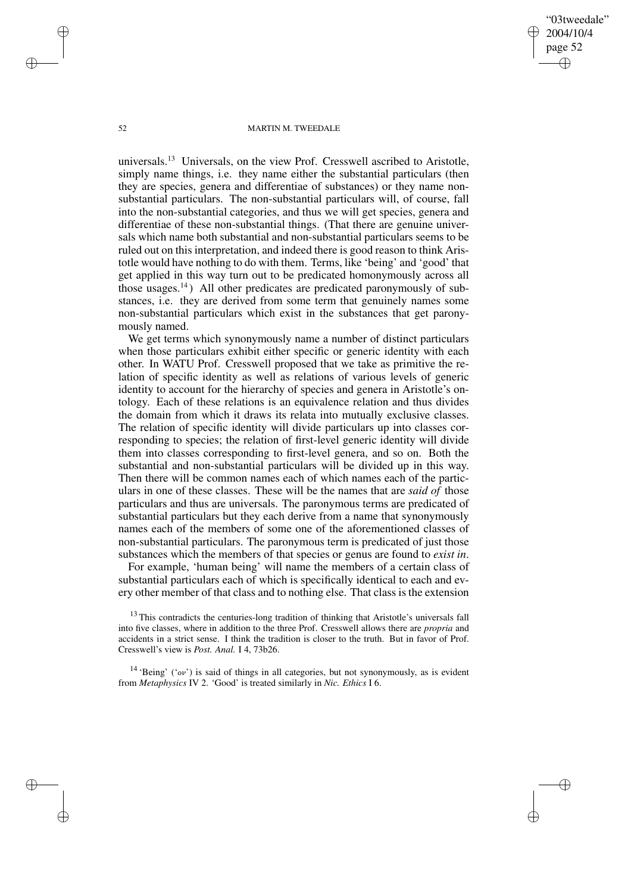"03tweedale" 2004/10/4 page 52 ✐ ✐

✐

✐

#### 52 MARTIN M. TWEEDALE

universals.<sup>13</sup> Universals, on the view Prof. Cresswell ascribed to Aristotle, simply name things, i.e. they name either the substantial particulars (then they are species, genera and differentiae of substances) or they name nonsubstantial particulars. The non-substantial particulars will, of course, fall into the non-substantial categories, and thus we will get species, genera and differentiae of these non-substantial things. (That there are genuine universals which name both substantial and non-substantial particulars seems to be ruled out on this interpretation, and indeed there is good reason to think Aristotle would have nothing to do with them. Terms, like 'being' and 'good' that get applied in this way turn out to be predicated homonymously across all those usages.<sup>14</sup>) All other predicates are predicated paronymously of substances, i.e. they are derived from some term that genuinely names some non-substantial particulars which exist in the substances that get paronymously named.

We get terms which synonymously name a number of distinct particulars when those particulars exhibit either specific or generic identity with each other. In WATU Prof. Cresswell proposed that we take as primitive the relation of specific identity as well as relations of various levels of generic identity to account for the hierarchy of species and genera in Aristotle's ontology. Each of these relations is an equivalence relation and thus divides the domain from which it draws its relata into mutually exclusive classes. The relation of specific identity will divide particulars up into classes corresponding to species; the relation of first-level generic identity will divide them into classes corresponding to first-level genera, and so on. Both the substantial and non-substantial particulars will be divided up in this way. Then there will be common names each of which names each of the particulars in one of these classes. These will be the names that are *said of* those particulars and thus are universals. The paronymous terms are predicated of substantial particulars but they each derive from a name that synonymously names each of the members of some one of the aforementioned classes of non-substantial particulars. The paronymous term is predicated of just those substances which the members of that species or genus are found to *exist in*.

For example, 'human being' will name the members of a certain class of substantial particulars each of which is specifically identical to each and every other member of that class and to nothing else. That class is the extension

<sup>13</sup> This contradicts the centuries-long tradition of thinking that Aristotle's universals fall into five classes, where in addition to the three Prof. Cresswell allows there are *propria* and accidents in a strict sense. I think the tradition is closer to the truth. But in favor of Prof. Cresswell's view is *Post. Anal.* I 4, 73b26.

<sup>14</sup> 'Being' ('ov') is said of things in all categories, but not synonymously, as is evident from *Metaphysics* IV 2. 'Good' is treated similarly in *Nic. Ethics* I 6.

✐

✐

✐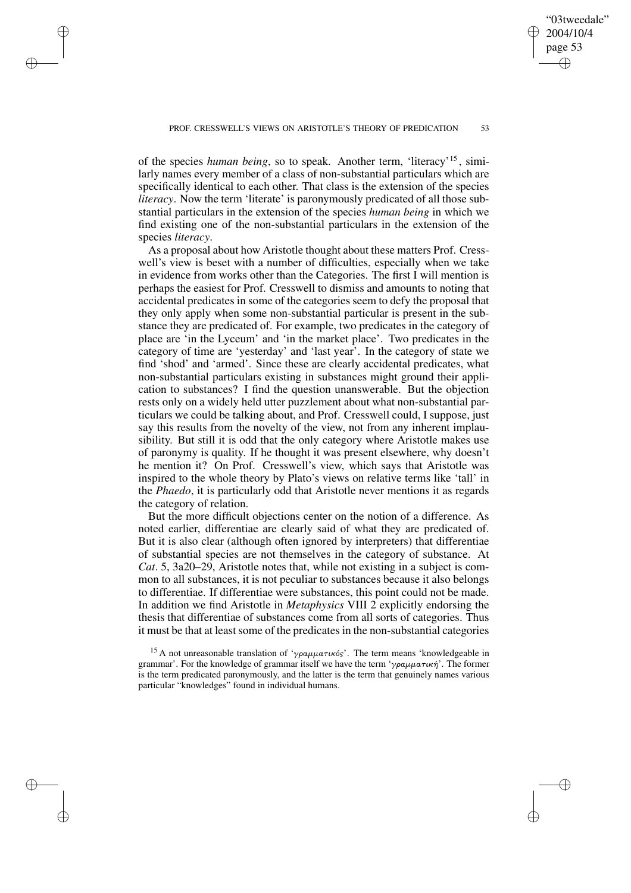"03tweedale" 2004/10/4 page 53

✐

✐

✐

✐

of the species *human being*, so to speak. Another term, 'literacy'<sup>15</sup> , similarly names every member of a class of non-substantial particulars which are specifically identical to each other. That class is the extension of the species *literacy*. Now the term 'literate' is paronymously predicated of all those substantial particulars in the extension of the species *human being* in which we find existing one of the non-substantial particulars in the extension of the species *literacy*.

✐

✐

✐

✐

As a proposal about how Aristotle thought about these matters Prof. Cresswell's view is beset with a number of difficulties, especially when we take in evidence from works other than the Categories. The first I will mention is perhaps the easiest for Prof. Cresswell to dismiss and amounts to noting that accidental predicates in some of the categories seem to defy the proposal that they only apply when some non-substantial particular is present in the substance they are predicated of. For example, two predicates in the category of place are 'in the Lyceum' and 'in the market place'. Two predicates in the category of time are 'yesterday' and 'last year'. In the category of state we find 'shod' and 'armed'. Since these are clearly accidental predicates, what non-substantial particulars existing in substances might ground their application to substances? I find the question unanswerable. But the objection rests only on a widely held utter puzzlement about what non-substantial particulars we could be talking about, and Prof. Cresswell could, I suppose, just say this results from the novelty of the view, not from any inherent implausibility. But still it is odd that the only category where Aristotle makes use of paronymy is quality. If he thought it was present elsewhere, why doesn't he mention it? On Prof. Cresswell's view, which says that Aristotle was inspired to the whole theory by Plato's views on relative terms like 'tall' in the *Phaedo*, it is particularly odd that Aristotle never mentions it as regards the category of relation.

But the more difficult objections center on the notion of a difference. As noted earlier, differentiae are clearly said of what they are predicated of. But it is also clear (although often ignored by interpreters) that differentiae of substantial species are not themselves in the category of substance. At *Cat*. 5, 3a20–29, Aristotle notes that, while not existing in a subject is common to all substances, it is not peculiar to substances because it also belongs to differentiae. If differentiae were substances, this point could not be made. In addition we find Aristotle in *Metaphysics* VIII 2 explicitly endorsing the thesis that differentiae of substances come from all sorts of categories. Thus it must be that at least some of the predicates in the non-substantial categories

<sup>&</sup>lt;sup>15</sup> A not unreasonable translation of 'γραμματικός'. The term means 'knowledgeable in grammar'. For the knowledge of grammar itself we have the term 'γραμματική'. The former is the term predicated paronymously, and the latter is the term that genuinely names various particular "knowledges" found in individual humans.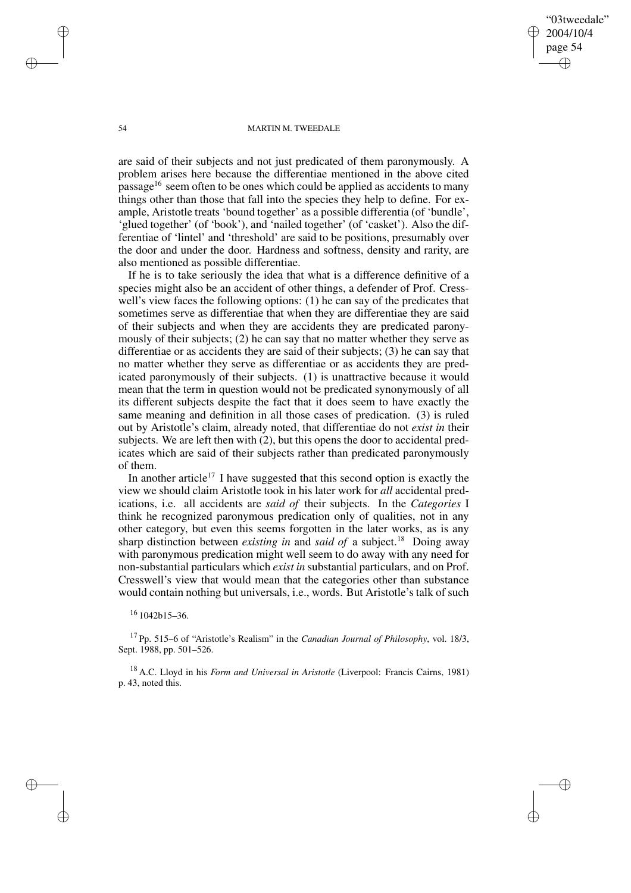"03tweedale" 2004/10/4 page 54 ✐ ✐

✐

✐

### 54 MARTIN M. TWEEDALE

are said of their subjects and not just predicated of them paronymously. A problem arises here because the differentiae mentioned in the above cited passage<sup>16</sup> seem often to be ones which could be applied as accidents to many things other than those that fall into the species they help to define. For example, Aristotle treats 'bound together' as a possible differentia (of 'bundle', 'glued together' (of 'book'), and 'nailed together' (of 'casket'). Also the differentiae of 'lintel' and 'threshold' are said to be positions, presumably over the door and under the door. Hardness and softness, density and rarity, are also mentioned as possible differentiae.

If he is to take seriously the idea that what is a difference definitive of a species might also be an accident of other things, a defender of Prof. Cresswell's view faces the following options: (1) he can say of the predicates that sometimes serve as differentiae that when they are differentiae they are said of their subjects and when they are accidents they are predicated paronymously of their subjects; (2) he can say that no matter whether they serve as differentiae or as accidents they are said of their subjects; (3) he can say that no matter whether they serve as differentiae or as accidents they are predicated paronymously of their subjects. (1) is unattractive because it would mean that the term in question would not be predicated synonymously of all its different subjects despite the fact that it does seem to have exactly the same meaning and definition in all those cases of predication. (3) is ruled out by Aristotle's claim, already noted, that differentiae do not *exist in* their subjects. We are left then with (2), but this opens the door to accidental predicates which are said of their subjects rather than predicated paronymously of them.

In another article<sup>17</sup> I have suggested that this second option is exactly the view we should claim Aristotle took in his later work for *all* accidental predications, i.e. all accidents are *said of* their subjects. In the *Categories* I think he recognized paronymous predication only of qualities, not in any other category, but even this seems forgotten in the later works, as is any sharp distinction between *existing in* and *said of* a subject.<sup>18</sup> Doing away with paronymous predication might well seem to do away with any need for non-substantial particulars which *exist in* substantial particulars, and on Prof. Cresswell's view that would mean that the categories other than substance would contain nothing but universals, i.e., words. But Aristotle's talk of such

### <sup>16</sup> 1042b15–36.

<sup>17</sup> Pp. 515–6 of "Aristotle's Realism" in the *Canadian Journal of Philosophy*, vol. 18/3, Sept. 1988, pp. 501–526.

<sup>18</sup> A.C. Lloyd in his *Form and Universal in Aristotle* (Liverpool: Francis Cairns, 1981) p. 43, noted this.

✐

✐

✐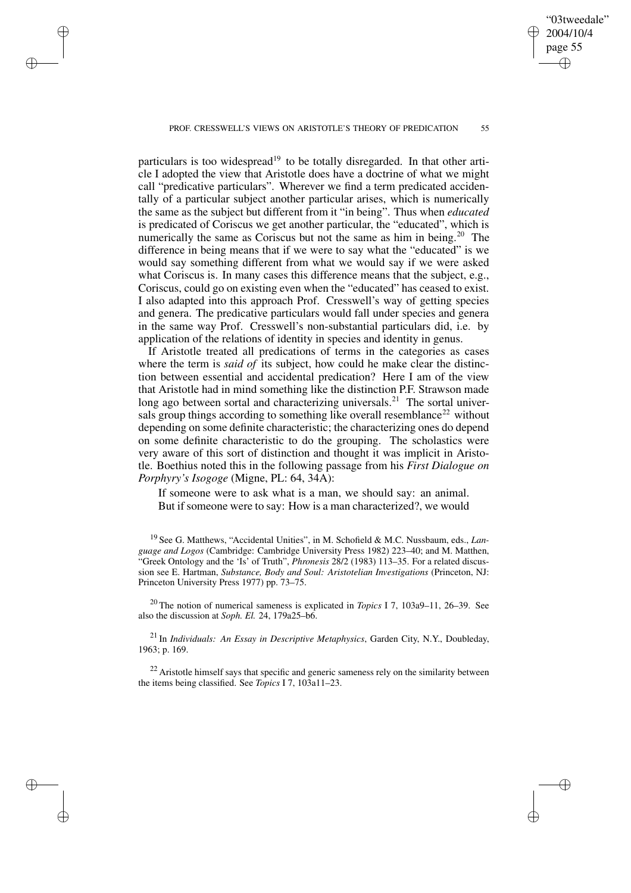PROF. CRESSWELL'S VIEWS ON ARISTOTLE'S THEORY OF PREDICATION 55

✐

✐

✐

✐

particulars is too widespread<sup>19</sup> to be totally disregarded. In that other article I adopted the view that Aristotle does have a doctrine of what we might call "predicative particulars". Wherever we find a term predicated accidentally of a particular subject another particular arises, which is numerically the same as the subject but different from it "in being". Thus when *educated* is predicated of Coriscus we get another particular, the "educated", which is numerically the same as Coriscus but not the same as him in being.<sup>20</sup> The difference in being means that if we were to say what the "educated" is we would say something different from what we would say if we were asked what Coriscus is. In many cases this difference means that the subject, e.g., Coriscus, could go on existing even when the "educated" has ceased to exist. I also adapted into this approach Prof. Cresswell's way of getting species and genera. The predicative particulars would fall under species and genera in the same way Prof. Cresswell's non-substantial particulars did, i.e. by application of the relations of identity in species and identity in genus.

If Aristotle treated all predications of terms in the categories as cases where the term is *said of* its subject, how could he make clear the distinction between essential and accidental predication? Here I am of the view that Aristotle had in mind something like the distinction P.F. Strawson made long ago between sortal and characterizing universals.<sup>21</sup> The sortal universals group things according to something like overall resemblance<sup>22</sup> without depending on some definite characteristic; the characterizing ones do depend on some definite characteristic to do the grouping. The scholastics were very aware of this sort of distinction and thought it was implicit in Aristotle. Boethius noted this in the following passage from his *First Dialogue on Porphyry's Isogoge* (Migne, PL: 64, 34A):

If someone were to ask what is a man, we should say: an animal. But if someone were to say: How is a man characterized?, we would

<sup>19</sup> See G. Matthews, "Accidental Unities", in M. Schofield & M.C. Nussbaum, eds., *Language and Logos* (Cambridge: Cambridge University Press 1982) 223–40; and M. Matthen, "Greek Ontology and the 'Is' of Truth", *Phronesis* 28/2 (1983) 113–35. For a related discussion see E. Hartman, *Substance, Body and Soul: Aristotelian Investigations* (Princeton, NJ: Princeton University Press 1977) pp. 73–75.

<sup>20</sup> The notion of numerical sameness is explicated in *Topics* I 7, 103a9–11, 26–39. See also the discussion at *Soph. El.* 24, 179a25–b6.

<sup>21</sup> In *Individuals: An Essay in Descriptive Metaphysics*, Garden City, N.Y., Doubleday, 1963; p. 169.

<sup>22</sup> Aristotle himself says that specific and generic sameness rely on the similarity between the items being classified. See *Topics* I 7, 103a11–23.

"03tweedale" 2004/10/4 page 55

✐

✐

✐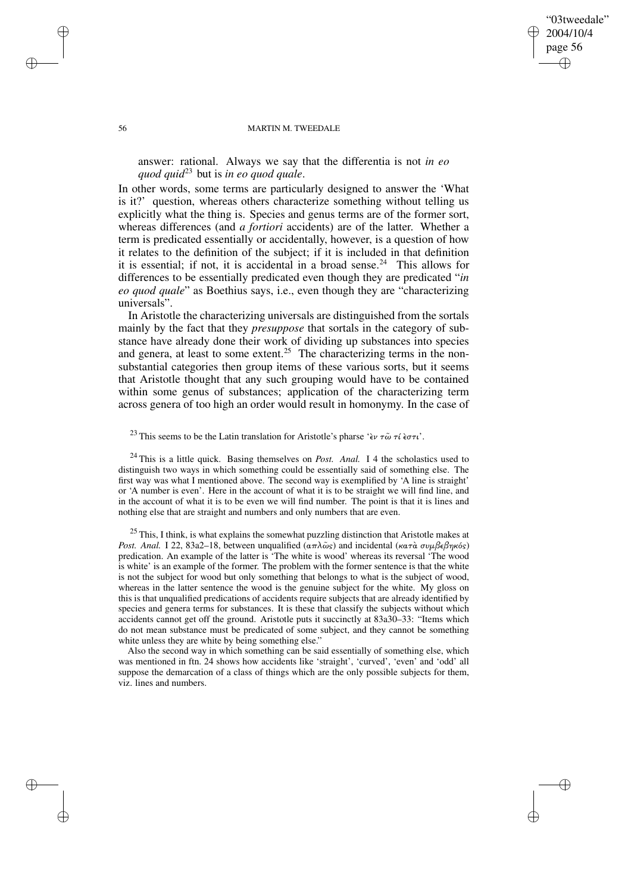### "03tweedale" 2004/10/4 page 56 ✐ ✐

✐

✐

#### 56 MARTIN M. TWEEDALE

answer: rational. Always we say that the differentia is not *in eo quod quid*<sup>23</sup> but is *in eo quod quale*.

In other words, some terms are particularly designed to answer the 'What is it?' question, whereas others characterize something without telling us explicitly what the thing is. Species and genus terms are of the former sort, whereas differences (and *a fortiori* accidents) are of the latter. Whether a term is predicated essentially or accidentally, however, is a question of how it relates to the definition of the subject; if it is included in that definition it is essential; if not, it is accidental in a broad sense.<sup>24</sup> This allows for differences to be essentially predicated even though they are predicated "*in eo quod quale*" as Boethius says, i.e., even though they are "characterizing universals".

In Aristotle the characterizing universals are distinguished from the sortals mainly by the fact that they *presuppose* that sortals in the category of substance have already done their work of dividing up substances into species and genera, at least to some extent.<sup>25</sup> The characterizing terms in the nonsubstantial categories then group items of these various sorts, but it seems that Aristotle thought that any such grouping would have to be contained within some genus of substances; application of the characterizing term across genera of too high an order would result in homonymy. In the case of

# <sup>23</sup> This seems to be the Latin translation for Aristotle's pharse 'εν τω̃ τί εστι'.

<sup>24</sup> This is a little quick. Basing themselves on *Post. Anal.* I 4 the scholastics used to distinguish two ways in which something could be essentially said of something else. The first way was what I mentioned above. The second way is exemplified by 'A line is straight' or 'A number is even'. Here in the account of what it is to be straight we will find line, and in the account of what it is to be even we will find number. The point is that it is lines and nothing else that are straight and numbers and only numbers that are even.

<sup>25</sup> This, I think, is what explains the somewhat puzzling distinction that Aristotle makes at *Post. Anal.* I 22, 83a2–18, between unqualified  $(απλω<sub>S</sub>)$  and incidental (κατὰ συμβεβηκός) predication. An example of the latter is 'The white is wood' whereas its reversal 'The wood is white' is an example of the former. The problem with the former sentence is that the white is not the subject for wood but only something that belongs to what is the subject of wood, whereas in the latter sentence the wood is the genuine subject for the white. My gloss on this is that unqualified predications of accidents require subjects that are already identified by species and genera terms for substances. It is these that classify the subjects without which accidents cannot get off the ground. Aristotle puts it succinctly at 83a30–33: "Items which do not mean substance must be predicated of some subject, and they cannot be something white unless they are white by being something else."

Also the second way in which something can be said essentially of something else, which was mentioned in ftn. 24 shows how accidents like 'straight', 'curved', 'even' and 'odd' all suppose the demarcation of a class of things which are the only possible subjects for them, viz. lines and numbers.

✐

✐

✐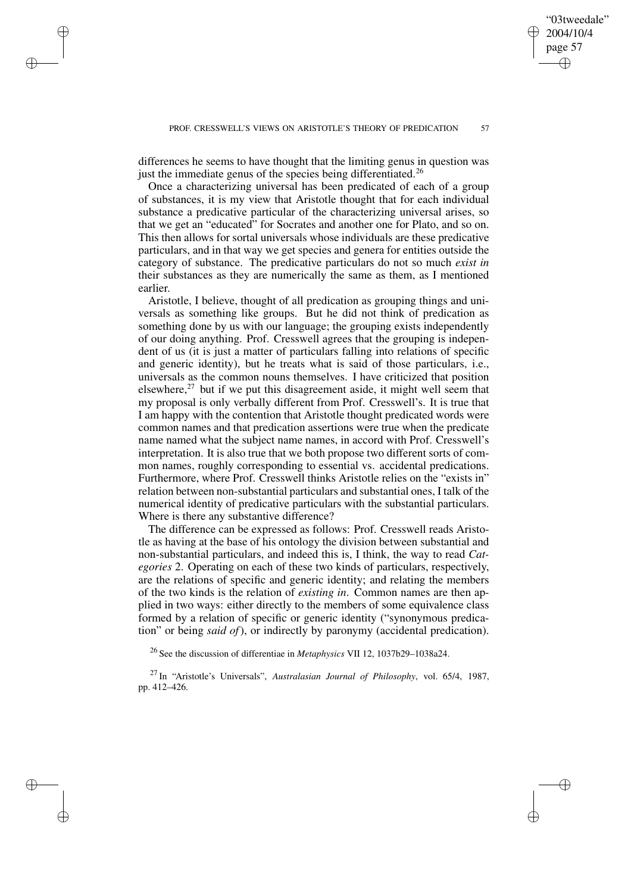differences he seems to have thought that the limiting genus in question was just the immediate genus of the species being differentiated.<sup>26</sup>

✐

✐

✐

✐

Once a characterizing universal has been predicated of each of a group of substances, it is my view that Aristotle thought that for each individual substance a predicative particular of the characterizing universal arises, so that we get an "educated" for Socrates and another one for Plato, and so on. This then allows for sortal universals whose individuals are these predicative particulars, and in that way we get species and genera for entities outside the category of substance. The predicative particulars do not so much *exist in* their substances as they are numerically the same as them, as I mentioned earlier.

Aristotle, I believe, thought of all predication as grouping things and universals as something like groups. But he did not think of predication as something done by us with our language; the grouping exists independently of our doing anything. Prof. Cresswell agrees that the grouping is independent of us (it is just a matter of particulars falling into relations of specific and generic identity), but he treats what is said of those particulars, i.e., universals as the common nouns themselves. I have criticized that position elsewhere,<sup>27</sup> but if we put this disagreement aside, it might well seem that my proposal is only verbally different from Prof. Cresswell's. It is true that I am happy with the contention that Aristotle thought predicated words were common names and that predication assertions were true when the predicate name named what the subject name names, in accord with Prof. Cresswell's interpretation. It is also true that we both propose two different sorts of common names, roughly corresponding to essential vs. accidental predications. Furthermore, where Prof. Cresswell thinks Aristotle relies on the "exists in" relation between non-substantial particulars and substantial ones, I talk of the numerical identity of predicative particulars with the substantial particulars. Where is there any substantive difference?

The difference can be expressed as follows: Prof. Cresswell reads Aristotle as having at the base of his ontology the division between substantial and non-substantial particulars, and indeed this is, I think, the way to read *Categories* 2. Operating on each of these two kinds of particulars, respectively, are the relations of specific and generic identity; and relating the members of the two kinds is the relation of *existing in*. Common names are then applied in two ways: either directly to the members of some equivalence class formed by a relation of specific or generic identity ("synonymous predication" or being *said of*), or indirectly by paronymy (accidental predication).

<sup>26</sup> See the discussion of differentiae in *Metaphysics* VII 12, 1037b29–1038a24.

<sup>27</sup> In "Aristotle's Universals", *Australasian Journal of Philosophy*, vol. 65/4, 1987, pp. 412–426.

"03tweedale" 2004/10/4 page 57

✐

✐

✐